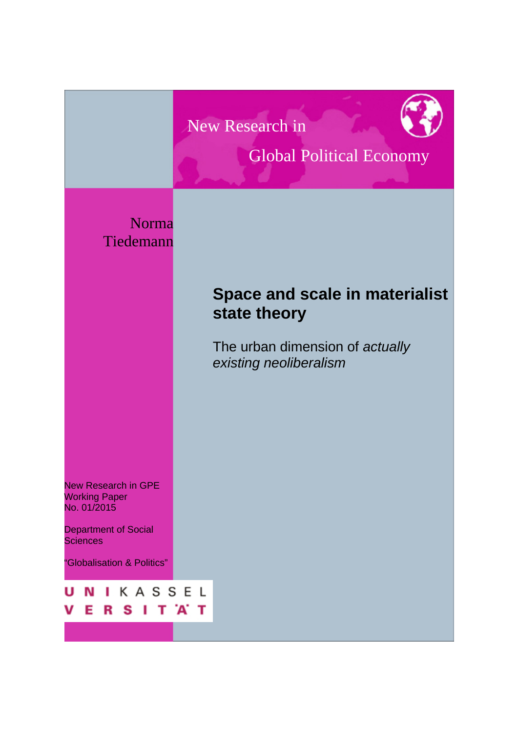New Research in



# Global Political Economy

Norma Tiedemann

## **Space and scale in materialist state theory**

The urban dimension of *actually existing neoliberalism*

New Research in GPE Working Paper No. 01/2015

Department of Social **Sciences** 

"Globalisation & Politics"

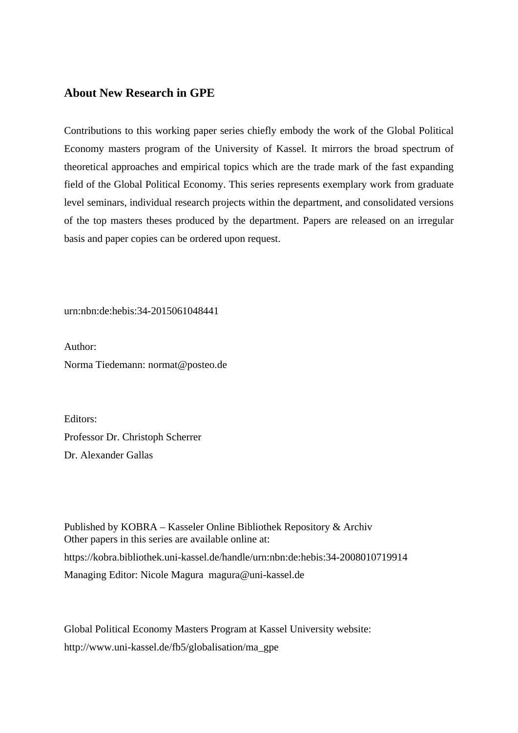### **About New Research in GPE**

Contributions to this working paper series chiefly embody the work of the Global Political Economy masters program of the University of Kassel. It mirrors the broad spectrum of theoretical approaches and empirical topics which are the trade mark of the fast expanding field of the Global Political Economy. This series represents exemplary work from graduate level seminars, individual research projects within the department, and consolidated versions of the top masters theses produced by the department. Papers are released on an irregular basis and paper copies can be ordered upon request.

urn:nbn:de:hebis:34-2015061048441

Author: Norma Tiedemann: normat@posteo.de

Editors: Professor Dr. Christoph Scherrer Dr. Alexander Gallas

Published by KOBRA – Kasseler Online Bibliothek Repository & Archiv Other papers in this series are available online at: https://kobra.bibliothek.uni-kassel.de/handle/urn:nbn:de:hebis:34-2008010719914 Managing Editor: Nicole Magura magura@uni-kassel.de

Global Political Economy Masters Program at Kassel University website: http://www.uni-kassel.de/fb5/globalisation/ma\_gpe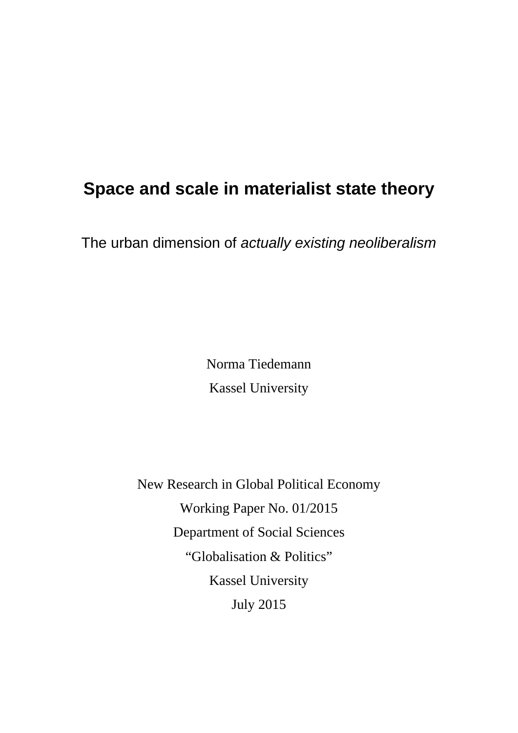# **Space and scale in materialist state theory**

The urban dimension of *actually existing neoliberalism*

Norma Tiedemann Kassel University

New Research in Global Political Economy Working Paper No. 01/2015 Department of Social Sciences "Globalisation & Politics" Kassel University July 2015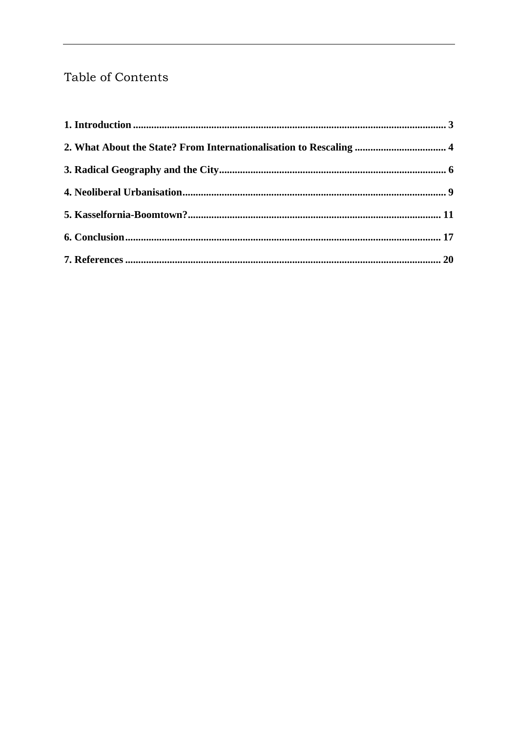### Table of Contents

| 2. What About the State? From Internationalisation to Rescaling  4 |  |
|--------------------------------------------------------------------|--|
|                                                                    |  |
|                                                                    |  |
|                                                                    |  |
|                                                                    |  |
|                                                                    |  |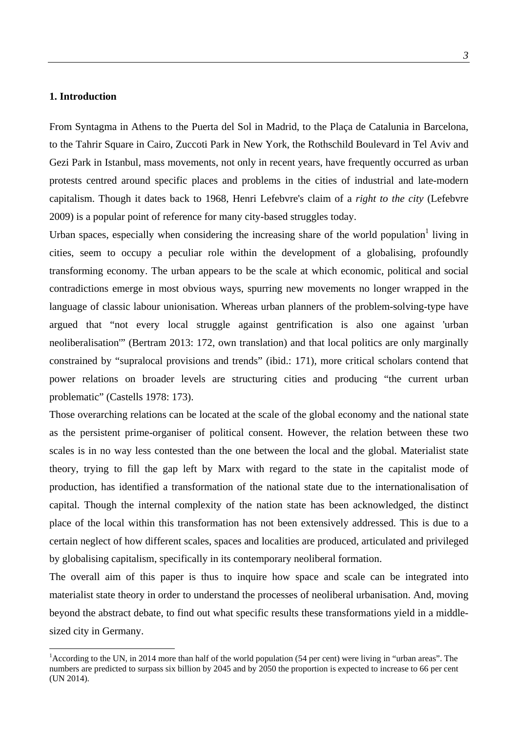#### **1. Introduction**

 $\overline{a}$ 

From Syntagma in Athens to the Puerta del Sol in Madrid, to the Plaça de Catalunia in Barcelona, to the Tahrir Square in Cairo, Zuccoti Park in New York, the Rothschild Boulevard in Tel Aviv and Gezi Park in Istanbul, mass movements, not only in recent years, have frequently occurred as urban protests centred around specific places and problems in the cities of industrial and late-modern capitalism. Though it dates back to 1968, Henri Lefebvre's claim of a *right to the city* (Lefebvre 2009) is a popular point of reference for many city-based struggles today.

Urban spaces, especially when considering the increasing share of the world population<sup>1</sup> living in cities, seem to occupy a peculiar role within the development of a globalising, profoundly transforming economy. The urban appears to be the scale at which economic, political and social contradictions emerge in most obvious ways, spurring new movements no longer wrapped in the language of classic labour unionisation. Whereas urban planners of the problem-solving-type have argued that "not every local struggle against gentrification is also one against 'urban neoliberalisation'" (Bertram 2013: 172, own translation) and that local politics are only marginally constrained by "supralocal provisions and trends" (ibid.: 171), more critical scholars contend that power relations on broader levels are structuring cities and producing "the current urban problematic" (Castells 1978: 173).

Those overarching relations can be located at the scale of the global economy and the national state as the persistent prime-organiser of political consent. However, the relation between these two scales is in no way less contested than the one between the local and the global. Materialist state theory, trying to fill the gap left by Marx with regard to the state in the capitalist mode of production, has identified a transformation of the national state due to the internationalisation of capital. Though the internal complexity of the nation state has been acknowledged, the distinct place of the local within this transformation has not been extensively addressed. This is due to a certain neglect of how different scales, spaces and localities are produced, articulated and privileged by globalising capitalism, specifically in its contemporary neoliberal formation.

The overall aim of this paper is thus to inquire how space and scale can be integrated into materialist state theory in order to understand the processes of neoliberal urbanisation. And, moving beyond the abstract debate, to find out what specific results these transformations yield in a middlesized city in Germany.

<sup>&</sup>lt;sup>1</sup> According to the UN, in 2014 more than half of the world population (54 per cent) were living in "urban areas". The numbers are predicted to surpass six billion by 2045 and by 2050 the proportion is expected to increase to 66 per cent (UN 2014).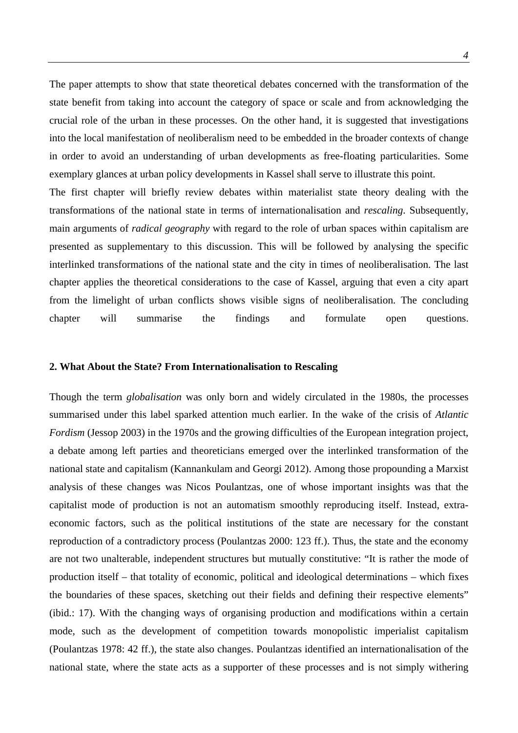The paper attempts to show that state theoretical debates concerned with the transformation of the state benefit from taking into account the category of space or scale and from acknowledging the crucial role of the urban in these processes. On the other hand, it is suggested that investigations into the local manifestation of neoliberalism need to be embedded in the broader contexts of change in order to avoid an understanding of urban developments as free-floating particularities. Some exemplary glances at urban policy developments in Kassel shall serve to illustrate this point. The first chapter will briefly review debates within materialist state theory dealing with the transformations of the national state in terms of internationalisation and *rescaling*. Subsequently, main arguments of *radical geography* with regard to the role of urban spaces within capitalism are presented as supplementary to this discussion. This will be followed by analysing the specific interlinked transformations of the national state and the city in times of neoliberalisation. The last chapter applies the theoretical considerations to the case of Kassel, arguing that even a city apart

from the limelight of urban conflicts shows visible signs of neoliberalisation. The concluding chapter will summarise the findings and formulate open questions.

#### **2. What About the State? From Internationalisation to Rescaling**

Though the term *globalisation* was only born and widely circulated in the 1980s, the processes summarised under this label sparked attention much earlier. In the wake of the crisis of *Atlantic Fordism* (Jessop 2003) in the 1970s and the growing difficulties of the European integration project, a debate among left parties and theoreticians emerged over the interlinked transformation of the national state and capitalism (Kannankulam and Georgi 2012). Among those propounding a Marxist analysis of these changes was Nicos Poulantzas, one of whose important insights was that the capitalist mode of production is not an automatism smoothly reproducing itself. Instead, extraeconomic factors, such as the political institutions of the state are necessary for the constant reproduction of a contradictory process (Poulantzas 2000: 123 ff.). Thus, the state and the economy are not two unalterable, independent structures but mutually constitutive: "It is rather the mode of production itself – that totality of economic, political and ideological determinations – which fixes the boundaries of these spaces, sketching out their fields and defining their respective elements" (ibid.: 17). With the changing ways of organising production and modifications within a certain mode, such as the development of competition towards monopolistic imperialist capitalism (Poulantzas 1978: 42 ff.), the state also changes. Poulantzas identified an internationalisation of the national state, where the state acts as a supporter of these processes and is not simply withering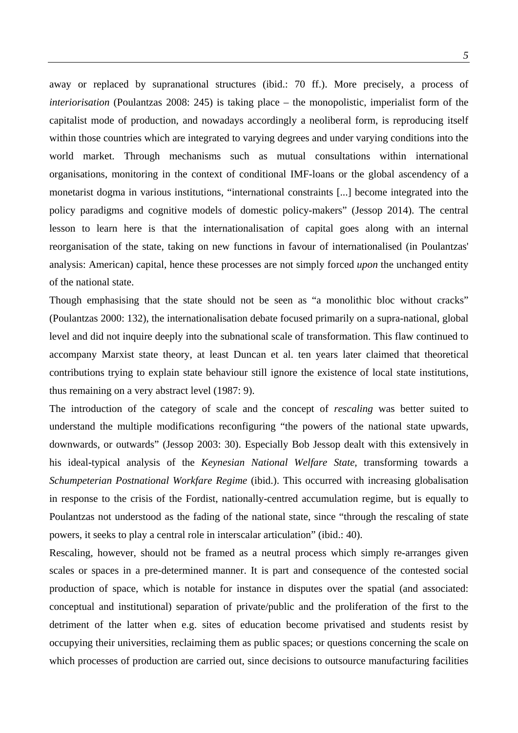away or replaced by supranational structures (ibid.: 70 ff.). More precisely, a process of *interiorisation* (Poulantzas 2008: 245) is taking place – the monopolistic, imperialist form of the capitalist mode of production, and nowadays accordingly a neoliberal form, is reproducing itself within those countries which are integrated to varying degrees and under varying conditions into the world market. Through mechanisms such as mutual consultations within international organisations, monitoring in the context of conditional IMF-loans or the global ascendency of a monetarist dogma in various institutions, "international constraints [...] become integrated into the policy paradigms and cognitive models of domestic policy-makers" (Jessop 2014). The central lesson to learn here is that the internationalisation of capital goes along with an internal reorganisation of the state, taking on new functions in favour of internationalised (in Poulantzas' analysis: American) capital, hence these processes are not simply forced *upon* the unchanged entity of the national state.

Though emphasising that the state should not be seen as "a monolithic bloc without cracks" (Poulantzas 2000: 132), the internationalisation debate focused primarily on a supra-national, global level and did not inquire deeply into the subnational scale of transformation. This flaw continued to accompany Marxist state theory, at least Duncan et al. ten years later claimed that theoretical contributions trying to explain state behaviour still ignore the existence of local state institutions, thus remaining on a very abstract level (1987: 9).

The introduction of the category of scale and the concept of *rescaling* was better suited to understand the multiple modifications reconfiguring "the powers of the national state upwards, downwards, or outwards" (Jessop 2003: 30). Especially Bob Jessop dealt with this extensively in his ideal-typical analysis of the *Keynesian National Welfare State*, transforming towards a *Schumpeterian Postnational Workfare Regime* (ibid.). This occurred with increasing globalisation in response to the crisis of the Fordist, nationally-centred accumulation regime, but is equally to Poulantzas not understood as the fading of the national state, since "through the rescaling of state powers, it seeks to play a central role in interscalar articulation" (ibid.: 40).

Rescaling, however, should not be framed as a neutral process which simply re-arranges given scales or spaces in a pre-determined manner. It is part and consequence of the contested social production of space, which is notable for instance in disputes over the spatial (and associated: conceptual and institutional) separation of private/public and the proliferation of the first to the detriment of the latter when e.g. sites of education become privatised and students resist by occupying their universities, reclaiming them as public spaces; or questions concerning the scale on which processes of production are carried out, since decisions to outsource manufacturing facilities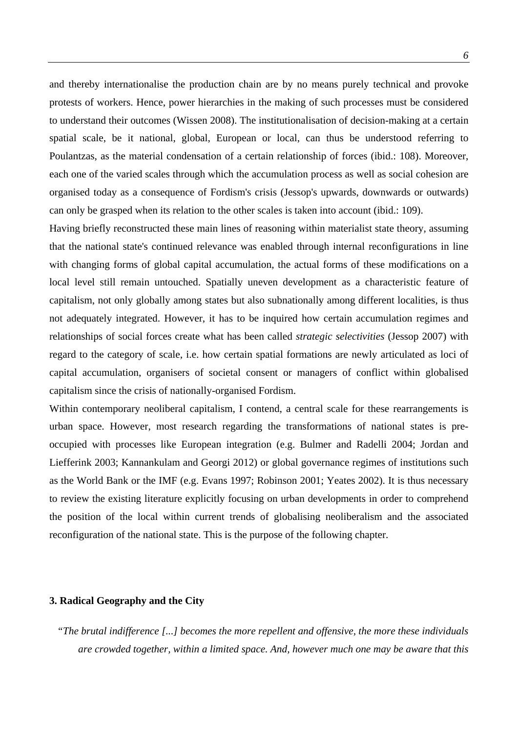and thereby internationalise the production chain are by no means purely technical and provoke protests of workers. Hence, power hierarchies in the making of such processes must be considered to understand their outcomes (Wissen 2008). The institutionalisation of decision-making at a certain spatial scale, be it national, global, European or local, can thus be understood referring to Poulantzas, as the material condensation of a certain relationship of forces (ibid.: 108). Moreover, each one of the varied scales through which the accumulation process as well as social cohesion are organised today as a consequence of Fordism's crisis (Jessop's upwards, downwards or outwards) can only be grasped when its relation to the other scales is taken into account (ibid.: 109).

Having briefly reconstructed these main lines of reasoning within materialist state theory, assuming that the national state's continued relevance was enabled through internal reconfigurations in line with changing forms of global capital accumulation, the actual forms of these modifications on a local level still remain untouched. Spatially uneven development as a characteristic feature of capitalism, not only globally among states but also subnationally among different localities, is thus not adequately integrated. However, it has to be inquired how certain accumulation regimes and relationships of social forces create what has been called *strategic selectivities* (Jessop 2007) with regard to the category of scale, i.e. how certain spatial formations are newly articulated as loci of capital accumulation, organisers of societal consent or managers of conflict within globalised capitalism since the crisis of nationally-organised Fordism.

Within contemporary neoliberal capitalism, I contend, a central scale for these rearrangements is urban space. However, most research regarding the transformations of national states is preoccupied with processes like European integration (e.g. Bulmer and Radelli 2004; Jordan and Liefferink 2003; Kannankulam and Georgi 2012) or global governance regimes of institutions such as the World Bank or the IMF (e.g. Evans 1997; Robinson 2001; Yeates 2002). It is thus necessary to review the existing literature explicitly focusing on urban developments in order to comprehend the position of the local within current trends of globalising neoliberalism and the associated reconfiguration of the national state. This is the purpose of the following chapter.

#### **3. Radical Geography and the City**

*"The brutal indifference [...] becomes the more repellent and offensive, the more these individuals are crowded together, within a limited space. And, however much one may be aware that this*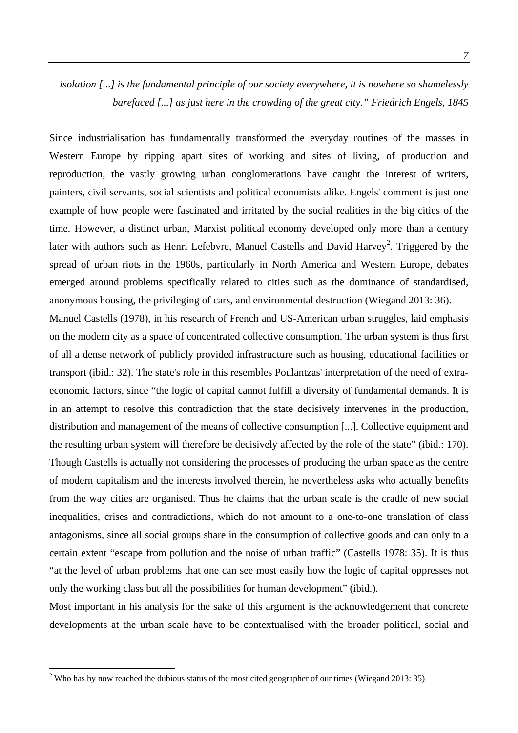### *isolation [...] is the fundamental principle of our society everywhere, it is nowhere so shamelessly barefaced [...] as just here in the crowding of the great city." Friedrich Engels, 1845*

Since industrialisation has fundamentally transformed the everyday routines of the masses in Western Europe by ripping apart sites of working and sites of living, of production and reproduction, the vastly growing urban conglomerations have caught the interest of writers, painters, civil servants, social scientists and political economists alike. Engels' comment is just one example of how people were fascinated and irritated by the social realities in the big cities of the time. However, a distinct urban, Marxist political economy developed only more than a century later with authors such as Henri Lefebvre, Manuel Castells and David Harvey<sup>2</sup>. Triggered by the spread of urban riots in the 1960s, particularly in North America and Western Europe, debates emerged around problems specifically related to cities such as the dominance of standardised, anonymous housing, the privileging of cars, and environmental destruction (Wiegand 2013: 36).

Manuel Castells (1978), in his research of French and US-American urban struggles, laid emphasis on the modern city as a space of concentrated collective consumption. The urban system is thus first of all a dense network of publicly provided infrastructure such as housing, educational facilities or transport (ibid.: 32). The state's role in this resembles Poulantzas' interpretation of the need of extraeconomic factors, since "the logic of capital cannot fulfill a diversity of fundamental demands. It is in an attempt to resolve this contradiction that the state decisively intervenes in the production, distribution and management of the means of collective consumption [...]. Collective equipment and the resulting urban system will therefore be decisively affected by the role of the state" (ibid.: 170). Though Castells is actually not considering the processes of producing the urban space as the centre of modern capitalism and the interests involved therein, he nevertheless asks who actually benefits from the way cities are organised. Thus he claims that the urban scale is the cradle of new social inequalities, crises and contradictions, which do not amount to a one-to-one translation of class antagonisms, since all social groups share in the consumption of collective goods and can only to a certain extent "escape from pollution and the noise of urban traffic" (Castells 1978: 35). It is thus "at the level of urban problems that one can see most easily how the logic of capital oppresses not only the working class but all the possibilities for human development" (ibid.).

Most important in his analysis for the sake of this argument is the acknowledgement that concrete developments at the urban scale have to be contextualised with the broader political, social and

 $\overline{a}$ 

<sup>&</sup>lt;sup>2</sup> Who has by now reached the dubious status of the most cited geographer of our times (Wiegand 2013: 35)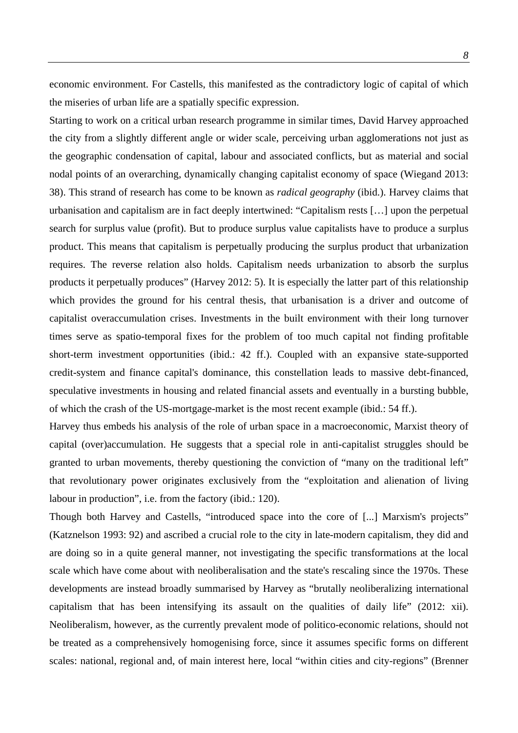economic environment. For Castells, this manifested as the contradictory logic of capital of which the miseries of urban life are a spatially specific expression.

Starting to work on a critical urban research programme in similar times, David Harvey approached the city from a slightly different angle or wider scale, perceiving urban agglomerations not just as the geographic condensation of capital, labour and associated conflicts, but as material and social nodal points of an overarching, dynamically changing capitalist economy of space (Wiegand 2013: 38). This strand of research has come to be known as *radical geography* (ibid.). Harvey claims that urbanisation and capitalism are in fact deeply intertwined: "Capitalism rests […] upon the perpetual search for surplus value (profit). But to produce surplus value capitalists have to produce a surplus product. This means that capitalism is perpetually producing the surplus product that urbanization requires. The reverse relation also holds. Capitalism needs urbanization to absorb the surplus products it perpetually produces" (Harvey 2012: 5). It is especially the latter part of this relationship which provides the ground for his central thesis, that urbanisation is a driver and outcome of capitalist overaccumulation crises. Investments in the built environment with their long turnover times serve as spatio-temporal fixes for the problem of too much capital not finding profitable short-term investment opportunities (ibid.: 42 ff.). Coupled with an expansive state-supported credit-system and finance capital's dominance, this constellation leads to massive debt-financed, speculative investments in housing and related financial assets and eventually in a bursting bubble, of which the crash of the US-mortgage-market is the most recent example (ibid.: 54 ff.).

Harvey thus embeds his analysis of the role of urban space in a macroeconomic, Marxist theory of capital (over)accumulation. He suggests that a special role in anti-capitalist struggles should be granted to urban movements, thereby questioning the conviction of "many on the traditional left" that revolutionary power originates exclusively from the "exploitation and alienation of living labour in production", i.e. from the factory (ibid.: 120).

Though both Harvey and Castells, "introduced space into the core of [...] Marxism's projects" (Katznelson 1993: 92) and ascribed a crucial role to the city in late-modern capitalism, they did and are doing so in a quite general manner, not investigating the specific transformations at the local scale which have come about with neoliberalisation and the state's rescaling since the 1970s. These developments are instead broadly summarised by Harvey as "brutally neoliberalizing international capitalism that has been intensifying its assault on the qualities of daily life" (2012: xii). Neoliberalism, however, as the currently prevalent mode of politico-economic relations, should not be treated as a comprehensively homogenising force, since it assumes specific forms on different scales: national, regional and, of main interest here, local "within cities and city-regions" (Brenner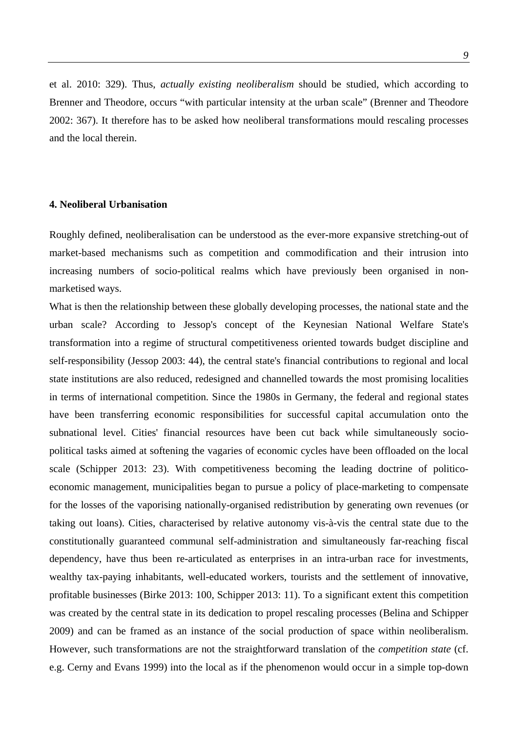et al. 2010: 329). Thus, *actually existing neoliberalism* should be studied, which according to Brenner and Theodore, occurs "with particular intensity at the urban scale" (Brenner and Theodore 2002: 367). It therefore has to be asked how neoliberal transformations mould rescaling processes and the local therein.

#### **4. Neoliberal Urbanisation**

Roughly defined, neoliberalisation can be understood as the ever-more expansive stretching-out of market-based mechanisms such as competition and commodification and their intrusion into increasing numbers of socio-political realms which have previously been organised in nonmarketised ways.

What is then the relationship between these globally developing processes, the national state and the urban scale? According to Jessop's concept of the Keynesian National Welfare State's transformation into a regime of structural competitiveness oriented towards budget discipline and self-responsibility (Jessop 2003: 44), the central state's financial contributions to regional and local state institutions are also reduced, redesigned and channelled towards the most promising localities in terms of international competition. Since the 1980s in Germany, the federal and regional states have been transferring economic responsibilities for successful capital accumulation onto the subnational level. Cities' financial resources have been cut back while simultaneously sociopolitical tasks aimed at softening the vagaries of economic cycles have been offloaded on the local scale (Schipper 2013: 23). With competitiveness becoming the leading doctrine of politicoeconomic management, municipalities began to pursue a policy of place-marketing to compensate for the losses of the vaporising nationally-organised redistribution by generating own revenues (or taking out loans). Cities, characterised by relative autonomy vis-à-vis the central state due to the constitutionally guaranteed communal self-administration and simultaneously far-reaching fiscal dependency, have thus been re-articulated as enterprises in an intra-urban race for investments, wealthy tax-paying inhabitants, well-educated workers, tourists and the settlement of innovative, profitable businesses (Birke 2013: 100, Schipper 2013: 11). To a significant extent this competition was created by the central state in its dedication to propel rescaling processes (Belina and Schipper 2009) and can be framed as an instance of the social production of space within neoliberalism. However, such transformations are not the straightforward translation of the *competition state* (cf. e.g. Cerny and Evans 1999) into the local as if the phenomenon would occur in a simple top-down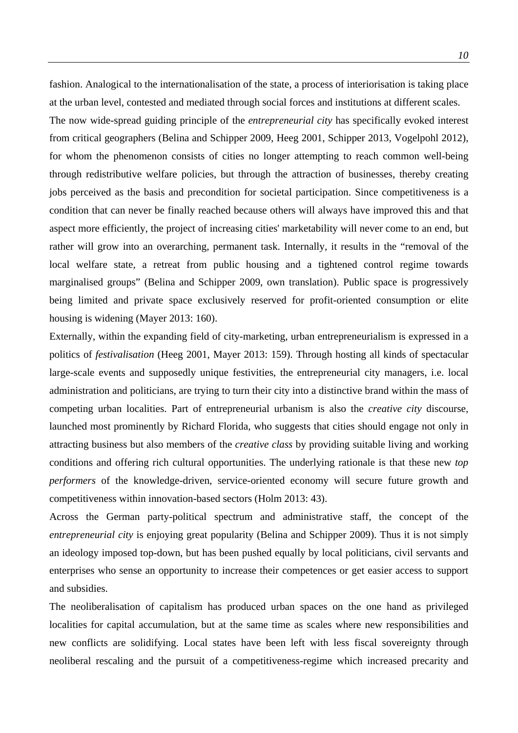fashion. Analogical to the internationalisation of the state, a process of interiorisation is taking place at the urban level, contested and mediated through social forces and institutions at different scales. The now wide-spread guiding principle of the *entrepreneurial city* has specifically evoked interest from critical geographers (Belina and Schipper 2009, Heeg 2001, Schipper 2013, Vogelpohl 2012), for whom the phenomenon consists of cities no longer attempting to reach common well-being through redistributive welfare policies, but through the attraction of businesses, thereby creating jobs perceived as the basis and precondition for societal participation. Since competitiveness is a condition that can never be finally reached because others will always have improved this and that aspect more efficiently, the project of increasing cities' marketability will never come to an end, but rather will grow into an overarching, permanent task. Internally, it results in the "removal of the local welfare state, a retreat from public housing and a tightened control regime towards marginalised groups" (Belina and Schipper 2009, own translation). Public space is progressively being limited and private space exclusively reserved for profit-oriented consumption or elite housing is widening (Mayer 2013: 160).

Externally, within the expanding field of city-marketing, urban entrepreneurialism is expressed in a politics of *festivalisation* (Heeg 2001, Mayer 2013: 159). Through hosting all kinds of spectacular large-scale events and supposedly unique festivities, the entrepreneurial city managers, i.e. local administration and politicians, are trying to turn their city into a distinctive brand within the mass of competing urban localities. Part of entrepreneurial urbanism is also the *creative city* discourse*,*  launched most prominently by Richard Florida, who suggests that cities should engage not only in attracting business but also members of the *creative class* by providing suitable living and working conditions and offering rich cultural opportunities. The underlying rationale is that these new *top performers* of the knowledge-driven, service-oriented economy will secure future growth and competitiveness within innovation-based sectors (Holm 2013: 43).

Across the German party-political spectrum and administrative staff, the concept of the *entrepreneurial city* is enjoying great popularity (Belina and Schipper 2009). Thus it is not simply an ideology imposed top-down, but has been pushed equally by local politicians, civil servants and enterprises who sense an opportunity to increase their competences or get easier access to support and subsidies.

The neoliberalisation of capitalism has produced urban spaces on the one hand as privileged localities for capital accumulation, but at the same time as scales where new responsibilities and new conflicts are solidifying. Local states have been left with less fiscal sovereignty through neoliberal rescaling and the pursuit of a competitiveness-regime which increased precarity and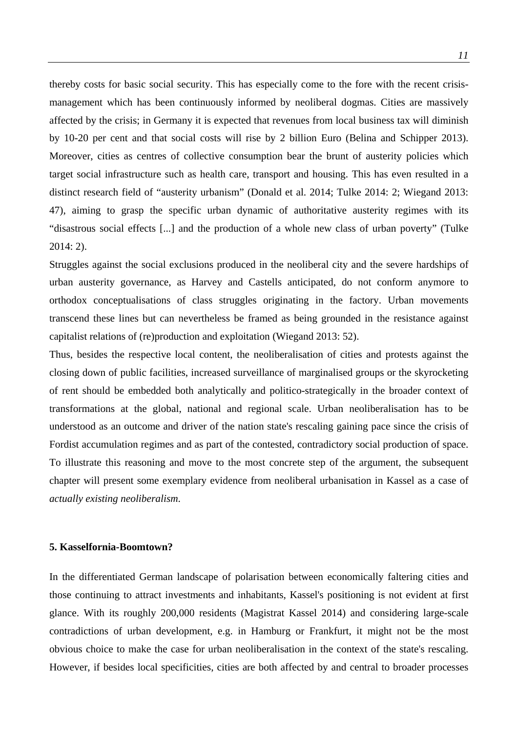thereby costs for basic social security. This has especially come to the fore with the recent crisismanagement which has been continuously informed by neoliberal dogmas. Cities are massively affected by the crisis; in Germany it is expected that revenues from local business tax will diminish by 10-20 per cent and that social costs will rise by 2 billion Euro (Belina and Schipper 2013). Moreover, cities as centres of collective consumption bear the brunt of austerity policies which target social infrastructure such as health care, transport and housing. This has even resulted in a distinct research field of "austerity urbanism" (Donald et al. 2014; Tulke 2014: 2; Wiegand 2013: 47), aiming to grasp the specific urban dynamic of authoritative austerity regimes with its "disastrous social effects [...] and the production of a whole new class of urban poverty" (Tulke 2014: 2).

Struggles against the social exclusions produced in the neoliberal city and the severe hardships of urban austerity governance, as Harvey and Castells anticipated, do not conform anymore to orthodox conceptualisations of class struggles originating in the factory. Urban movements transcend these lines but can nevertheless be framed as being grounded in the resistance against capitalist relations of (re)production and exploitation (Wiegand 2013: 52).

Thus, besides the respective local content, the neoliberalisation of cities and protests against the closing down of public facilities, increased surveillance of marginalised groups or the skyrocketing of rent should be embedded both analytically and politico-strategically in the broader context of transformations at the global, national and regional scale. Urban neoliberalisation has to be understood as an outcome and driver of the nation state's rescaling gaining pace since the crisis of Fordist accumulation regimes and as part of the contested, contradictory social production of space. To illustrate this reasoning and move to the most concrete step of the argument, the subsequent chapter will present some exemplary evidence from neoliberal urbanisation in Kassel as a case of *actually existing neoliberalism*.

#### **5. Kasselfornia-Boomtown?**

In the differentiated German landscape of polarisation between economically faltering cities and those continuing to attract investments and inhabitants, Kassel's positioning is not evident at first glance. With its roughly 200,000 residents (Magistrat Kassel 2014) and considering large-scale contradictions of urban development, e.g. in Hamburg or Frankfurt, it might not be the most obvious choice to make the case for urban neoliberalisation in the context of the state's rescaling. However, if besides local specificities, cities are both affected by and central to broader processes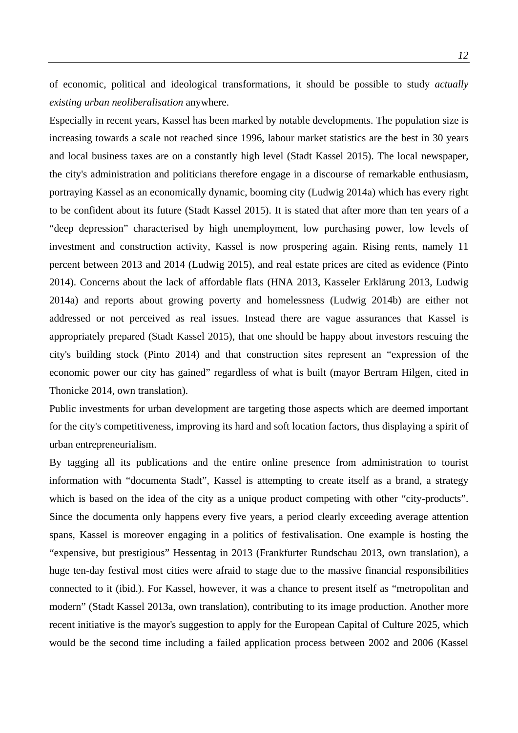of economic, political and ideological transformations, it should be possible to study *actually existing urban neoliberalisation* anywhere.

Especially in recent years, Kassel has been marked by notable developments. The population size is increasing towards a scale not reached since 1996, labour market statistics are the best in 30 years and local business taxes are on a constantly high level (Stadt Kassel 2015). The local newspaper, the city's administration and politicians therefore engage in a discourse of remarkable enthusiasm, portraying Kassel as an economically dynamic, booming city (Ludwig 2014a) which has every right to be confident about its future (Stadt Kassel 2015). It is stated that after more than ten years of a "deep depression" characterised by high unemployment, low purchasing power, low levels of investment and construction activity, Kassel is now prospering again. Rising rents, namely 11 percent between 2013 and 2014 (Ludwig 2015), and real estate prices are cited as evidence (Pinto 2014). Concerns about the lack of affordable flats (HNA 2013, Kasseler Erklärung 2013, Ludwig 2014a) and reports about growing poverty and homelessness (Ludwig 2014b) are either not addressed or not perceived as real issues. Instead there are vague assurances that Kassel is appropriately prepared (Stadt Kassel 2015), that one should be happy about investors rescuing the city's building stock (Pinto 2014) and that construction sites represent an "expression of the economic power our city has gained" regardless of what is built (mayor Bertram Hilgen, cited in Thonicke 2014, own translation).

Public investments for urban development are targeting those aspects which are deemed important for the city's competitiveness, improving its hard and soft location factors, thus displaying a spirit of urban entrepreneurialism.

By tagging all its publications and the entire online presence from administration to tourist information with "documenta Stadt", Kassel is attempting to create itself as a brand, a strategy which is based on the idea of the city as a unique product competing with other "city-products". Since the documenta only happens every five years, a period clearly exceeding average attention spans, Kassel is moreover engaging in a politics of festivalisation. One example is hosting the "expensive, but prestigious" Hessentag in 2013 (Frankfurter Rundschau 2013, own translation), a huge ten-day festival most cities were afraid to stage due to the massive financial responsibilities connected to it (ibid.). For Kassel, however, it was a chance to present itself as "metropolitan and modern" (Stadt Kassel 2013a, own translation), contributing to its image production. Another more recent initiative is the mayor's suggestion to apply for the European Capital of Culture 2025, which would be the second time including a failed application process between 2002 and 2006 (Kassel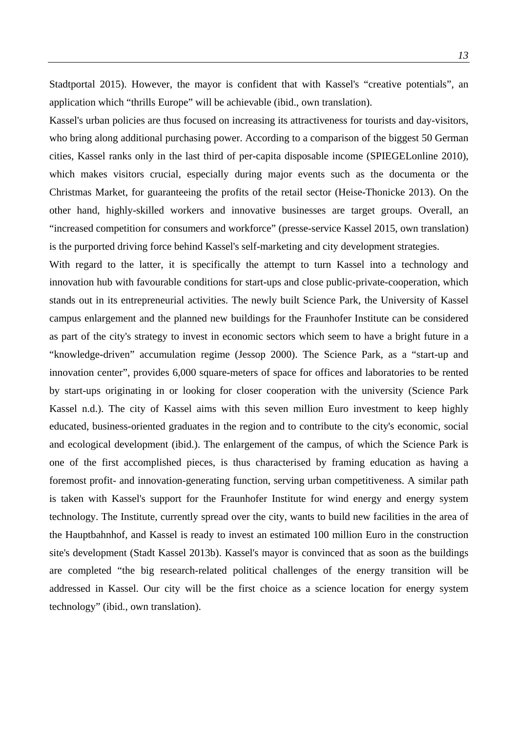Stadtportal 2015). However, the mayor is confident that with Kassel's "creative potentials", an application which "thrills Europe" will be achievable (ibid., own translation).

Kassel's urban policies are thus focused on increasing its attractiveness for tourists and day-visitors, who bring along additional purchasing power. According to a comparison of the biggest 50 German cities, Kassel ranks only in the last third of per-capita disposable income (SPIEGELonline 2010), which makes visitors crucial, especially during major events such as the documenta or the Christmas Market, for guaranteeing the profits of the retail sector (Heise-Thonicke 2013). On the other hand, highly-skilled workers and innovative businesses are target groups. Overall, an "increased competition for consumers and workforce" (presse-service Kassel 2015, own translation) is the purported driving force behind Kassel's self-marketing and city development strategies.

With regard to the latter, it is specifically the attempt to turn Kassel into a technology and innovation hub with favourable conditions for start-ups and close public-private-cooperation, which stands out in its entrepreneurial activities. The newly built Science Park, the University of Kassel campus enlargement and the planned new buildings for the Fraunhofer Institute can be considered as part of the city's strategy to invest in economic sectors which seem to have a bright future in a "knowledge-driven" accumulation regime (Jessop 2000). The Science Park, as a "start-up and innovation center", provides 6,000 square-meters of space for offices and laboratories to be rented by start-ups originating in or looking for closer cooperation with the university (Science Park Kassel n.d.). The city of Kassel aims with this seven million Euro investment to keep highly educated, business-oriented graduates in the region and to contribute to the city's economic, social and ecological development (ibid.). The enlargement of the campus, of which the Science Park is one of the first accomplished pieces, is thus characterised by framing education as having a foremost profit- and innovation-generating function, serving urban competitiveness. A similar path is taken with Kassel's support for the Fraunhofer Institute for wind energy and energy system technology. The Institute, currently spread over the city, wants to build new facilities in the area of the Hauptbahnhof, and Kassel is ready to invest an estimated 100 million Euro in the construction site's development (Stadt Kassel 2013b). Kassel's mayor is convinced that as soon as the buildings are completed "the big research-related political challenges of the energy transition will be addressed in Kassel. Our city will be the first choice as a science location for energy system technology" (ibid., own translation).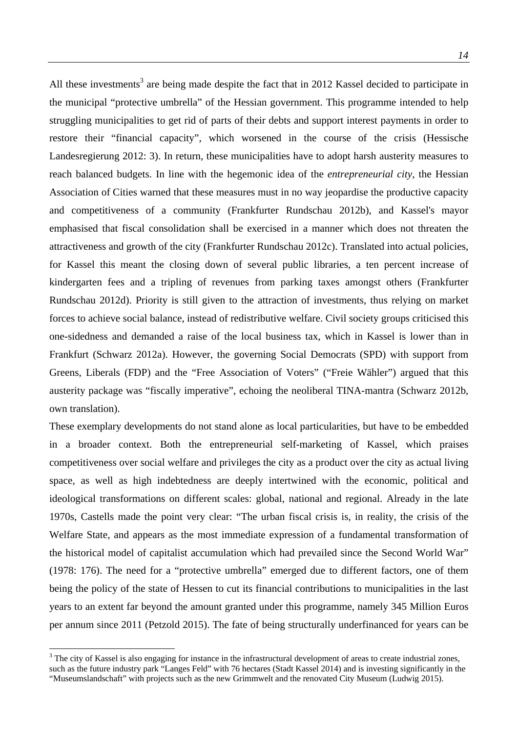All these investments<sup>3</sup> are being made despite the fact that in 2012 Kassel decided to participate in the municipal "protective umbrella" of the Hessian government. This programme intended to help struggling municipalities to get rid of parts of their debts and support interest payments in order to restore their "financial capacity", which worsened in the course of the crisis (Hessische Landesregierung 2012: 3). In return, these municipalities have to adopt harsh austerity measures to reach balanced budgets. In line with the hegemonic idea of the *entrepreneurial city*, the Hessian Association of Cities warned that these measures must in no way jeopardise the productive capacity and competitiveness of a community (Frankfurter Rundschau 2012b), and Kassel's mayor emphasised that fiscal consolidation shall be exercised in a manner which does not threaten the attractiveness and growth of the city (Frankfurter Rundschau 2012c). Translated into actual policies, for Kassel this meant the closing down of several public libraries, a ten percent increase of kindergarten fees and a tripling of revenues from parking taxes amongst others (Frankfurter Rundschau 2012d). Priority is still given to the attraction of investments, thus relying on market forces to achieve social balance, instead of redistributive welfare. Civil society groups criticised this one-sidedness and demanded a raise of the local business tax, which in Kassel is lower than in Frankfurt (Schwarz 2012a). However, the governing Social Democrats (SPD) with support from Greens, Liberals (FDP) and the "Free Association of Voters" ("Freie Wähler") argued that this austerity package was "fiscally imperative", echoing the neoliberal TINA-mantra (Schwarz 2012b, own translation).

These exemplary developments do not stand alone as local particularities, but have to be embedded in a broader context. Both the entrepreneurial self-marketing of Kassel, which praises competitiveness over social welfare and privileges the city as a product over the city as actual living space, as well as high indebtedness are deeply intertwined with the economic, political and ideological transformations on different scales: global, national and regional. Already in the late 1970s, Castells made the point very clear: "The urban fiscal crisis is, in reality, the crisis of the Welfare State, and appears as the most immediate expression of a fundamental transformation of the historical model of capitalist accumulation which had prevailed since the Second World War" (1978: 176). The need for a "protective umbrella" emerged due to different factors, one of them being the policy of the state of Hessen to cut its financial contributions to municipalities in the last years to an extent far beyond the amount granted under this programme, namely 345 Million Euros per annum since 2011 (Petzold 2015). The fate of being structurally underfinanced for years can be

 $\overline{a}$ 

 $3$  The city of Kassel is also engaging for instance in the infrastructural development of areas to create industrial zones, such as the future industry park "Langes Feld" with 76 hectares (Stadt Kassel 2014) and is investing significantly in the "Museumslandschaft" with projects such as the new Grimmwelt and the renovated City Museum (Ludwig 2015).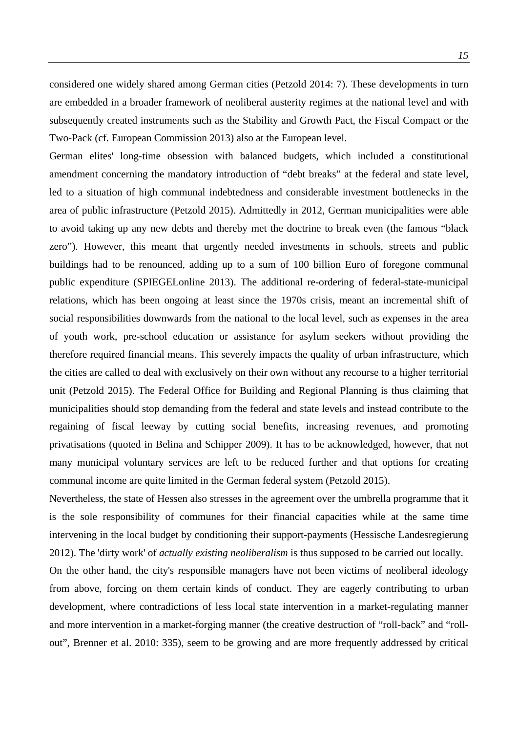considered one widely shared among German cities (Petzold 2014: 7). These developments in turn are embedded in a broader framework of neoliberal austerity regimes at the national level and with subsequently created instruments such as the Stability and Growth Pact, the Fiscal Compact or the Two-Pack (cf. European Commission 2013) also at the European level.

German elites' long-time obsession with balanced budgets, which included a constitutional amendment concerning the mandatory introduction of "debt breaks" at the federal and state level, led to a situation of high communal indebtedness and considerable investment bottlenecks in the area of public infrastructure (Petzold 2015). Admittedly in 2012, German municipalities were able to avoid taking up any new debts and thereby met the doctrine to break even (the famous "black zero"). However, this meant that urgently needed investments in schools, streets and public buildings had to be renounced, adding up to a sum of 100 billion Euro of foregone communal public expenditure (SPIEGELonline 2013). The additional re-ordering of federal-state-municipal relations, which has been ongoing at least since the 1970s crisis, meant an incremental shift of social responsibilities downwards from the national to the local level, such as expenses in the area of youth work, pre-school education or assistance for asylum seekers without providing the therefore required financial means. This severely impacts the quality of urban infrastructure, which the cities are called to deal with exclusively on their own without any recourse to a higher territorial unit (Petzold 2015). The Federal Office for Building and Regional Planning is thus claiming that municipalities should stop demanding from the federal and state levels and instead contribute to the regaining of fiscal leeway by cutting social benefits, increasing revenues, and promoting privatisations (quoted in Belina and Schipper 2009). It has to be acknowledged, however, that not many municipal voluntary services are left to be reduced further and that options for creating communal income are quite limited in the German federal system (Petzold 2015).

Nevertheless, the state of Hessen also stresses in the agreement over the umbrella programme that it is the sole responsibility of communes for their financial capacities while at the same time intervening in the local budget by conditioning their support-payments (Hessische Landesregierung 2012). The 'dirty work' of *actually existing neoliberalism* is thus supposed to be carried out locally.

On the other hand, the city's responsible managers have not been victims of neoliberal ideology from above, forcing on them certain kinds of conduct. They are eagerly contributing to urban development, where contradictions of less local state intervention in a market-regulating manner and more intervention in a market-forging manner (the creative destruction of "roll-back" and "rollout", Brenner et al. 2010: 335), seem to be growing and are more frequently addressed by critical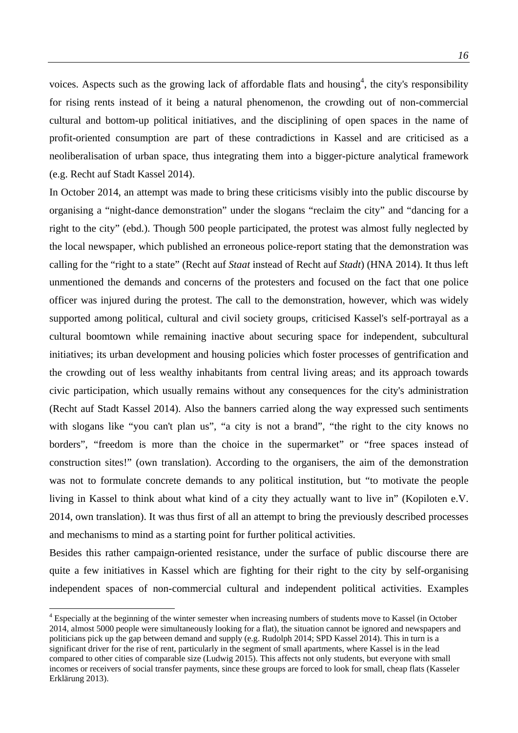voices. Aspects such as the growing lack of affordable flats and housing<sup>4</sup>, the city's responsibility for rising rents instead of it being a natural phenomenon, the crowding out of non-commercial cultural and bottom-up political initiatives, and the disciplining of open spaces in the name of profit-oriented consumption are part of these contradictions in Kassel and are criticised as a neoliberalisation of urban space, thus integrating them into a bigger-picture analytical framework (e.g. Recht auf Stadt Kassel 2014).

In October 2014, an attempt was made to bring these criticisms visibly into the public discourse by organising a "night-dance demonstration" under the slogans "reclaim the city" and "dancing for a right to the city" (ebd.). Though 500 people participated, the protest was almost fully neglected by the local newspaper, which published an erroneous police-report stating that the demonstration was calling for the "right to a state" (Recht auf *Staat* instead of Recht auf *Stadt*) (HNA 2014). It thus left unmentioned the demands and concerns of the protesters and focused on the fact that one police officer was injured during the protest. The call to the demonstration, however, which was widely supported among political, cultural and civil society groups, criticised Kassel's self-portrayal as a cultural boomtown while remaining inactive about securing space for independent, subcultural initiatives; its urban development and housing policies which foster processes of gentrification and the crowding out of less wealthy inhabitants from central living areas; and its approach towards civic participation, which usually remains without any consequences for the city's administration (Recht auf Stadt Kassel 2014). Also the banners carried along the way expressed such sentiments with slogans like "you can't plan us", "a city is not a brand", "the right to the city knows no borders", "freedom is more than the choice in the supermarket" or "free spaces instead of construction sites!" (own translation). According to the organisers, the aim of the demonstration was not to formulate concrete demands to any political institution, but "to motivate the people living in Kassel to think about what kind of a city they actually want to live in" (Kopiloten e.V. 2014, own translation). It was thus first of all an attempt to bring the previously described processes and mechanisms to mind as a starting point for further political activities.

Besides this rather campaign-oriented resistance, under the surface of public discourse there are quite a few initiatives in Kassel which are fighting for their right to the city by self-organising independent spaces of non-commercial cultural and independent political activities. Examples

 $\overline{a}$ 

<sup>&</sup>lt;sup>4</sup> Especially at the beginning of the winter semester when increasing numbers of students move to Kassel (in October 2014, almost 5000 people were simultaneously looking for a flat), the situation cannot be ignored and newspapers and politicians pick up the gap between demand and supply (e.g. Rudolph 2014; SPD Kassel 2014). This in turn is a significant driver for the rise of rent, particularly in the segment of small apartments, where Kassel is in the lead compared to other cities of comparable size (Ludwig 2015). This affects not only students, but everyone with small incomes or receivers of social transfer payments, since these groups are forced to look for small, cheap flats (Kasseler Erklärung 2013).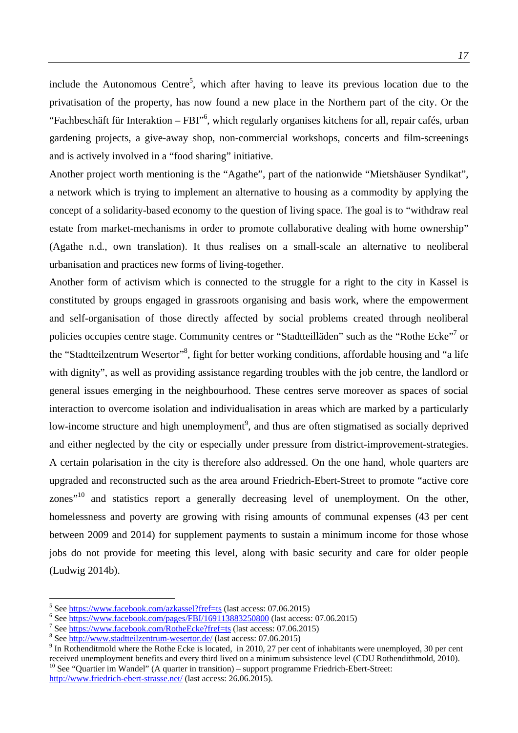include the Autonomous Centre<sup>5</sup>, which after having to leave its previous location due to the privatisation of the property, has now found a new place in the Northern part of the city. Or the "Fachbeschäft für Interaktion – FBI"<sup>6</sup>, which regularly organises kitchens for all, repair cafés, urban gardening projects, a give-away shop, non-commercial workshops, concerts and film-screenings and is actively involved in a "food sharing" initiative.

Another project worth mentioning is the "Agathe", part of the nationwide "Mietshäuser Syndikat", a network which is trying to implement an alternative to housing as a commodity by applying the concept of a solidarity-based economy to the question of living space. The goal is to "withdraw real estate from market-mechanisms in order to promote collaborative dealing with home ownership" (Agathe n.d., own translation). It thus realises on a small-scale an alternative to neoliberal urbanisation and practices new forms of living-together.

Another form of activism which is connected to the struggle for a right to the city in Kassel is constituted by groups engaged in grassroots organising and basis work, where the empowerment and self-organisation of those directly affected by social problems created through neoliberal policies occupies centre stage. Community centres or "Stadtteilläden" such as the "Rothe Ecke"<sup>7</sup> or the "Stadtteilzentrum Wesertor"<sup>8</sup>, fight for better working conditions, affordable housing and "a life with dignity", as well as providing assistance regarding troubles with the job centre, the landlord or general issues emerging in the neighbourhood. These centres serve moreover as spaces of social interaction to overcome isolation and individualisation in areas which are marked by a particularly low-income structure and high unemployment<sup>9</sup>, and thus are often stigmatised as socially deprived and either neglected by the city or especially under pressure from district-improvement-strategies. A certain polarisation in the city is therefore also addressed. On the one hand, whole quarters are upgraded and reconstructed such as the area around Friedrich-Ebert-Street to promote "active core zones"<sup>10</sup> and statistics report a generally decreasing level of unemployment. On the other, homelessness and poverty are growing with rising amounts of communal expenses (43 per cent between 2009 and 2014) for supplement payments to sustain a minimum income for those whose jobs do not provide for meeting this level, along with basic security and care for older people (Ludwig 2014b).

 $\overline{a}$ 

 *17*

<sup>&</sup>lt;sup>5</sup> See https://www.facebook.com/azkassel?fref=ts (last access: 07.06.2015)

 $\frac{6}{100}$  See https://www.facebook.com/pages/FBI/169113883250800 (last access: 07.06.2015)

<sup>&</sup>lt;sup>7</sup> See https://www.facebook.com/RotheEcke?fref=ts (last access: 07.06.2015)

<sup>&</sup>lt;sup>8</sup> See http://www.stadtteilzentrum-wesertor.de/ (last access: 07.06.2015)

<sup>&</sup>lt;sup>9</sup> In Rothenditmold where the Rothe Ecke is located, in 2010, 27 per cent of inhabitants were unemployed, 30 per cent received unemployment benefits and every third lived on a minimum subsistence level (CDU Rothendithmold, 2010).<br><sup>10</sup> See "Quartier im Wandel" (A quarter in transition) – support programme Friedrich-Ebert-Street: http://www.friedrich-ebert-strasse.net/ (last access: 26.06.2015).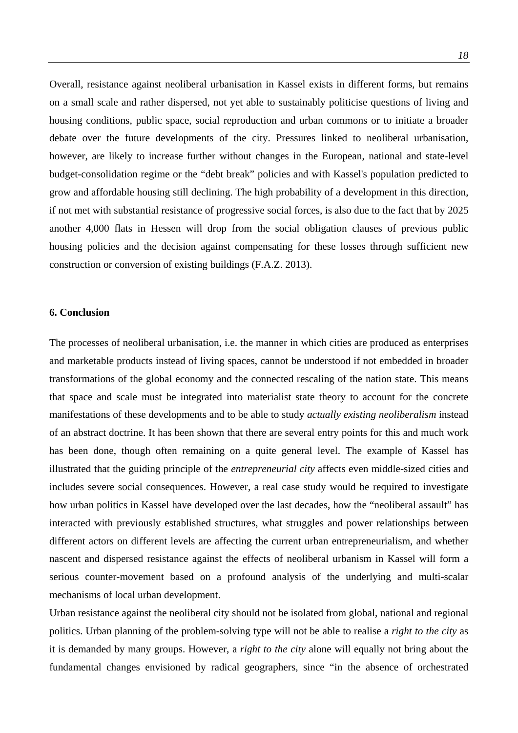Overall, resistance against neoliberal urbanisation in Kassel exists in different forms, but remains on a small scale and rather dispersed, not yet able to sustainably politicise questions of living and housing conditions, public space, social reproduction and urban commons or to initiate a broader debate over the future developments of the city. Pressures linked to neoliberal urbanisation, however, are likely to increase further without changes in the European, national and state-level budget-consolidation regime or the "debt break" policies and with Kassel's population predicted to grow and affordable housing still declining. The high probability of a development in this direction, if not met with substantial resistance of progressive social forces, is also due to the fact that by 2025 another 4,000 flats in Hessen will drop from the social obligation clauses of previous public housing policies and the decision against compensating for these losses through sufficient new construction or conversion of existing buildings (F.A.Z. 2013).

#### **6. Conclusion**

The processes of neoliberal urbanisation, i.e. the manner in which cities are produced as enterprises and marketable products instead of living spaces, cannot be understood if not embedded in broader transformations of the global economy and the connected rescaling of the nation state. This means that space and scale must be integrated into materialist state theory to account for the concrete manifestations of these developments and to be able to study *actually existing neoliberalism* instead of an abstract doctrine. It has been shown that there are several entry points for this and much work has been done, though often remaining on a quite general level. The example of Kassel has illustrated that the guiding principle of the *entrepreneurial city* affects even middle-sized cities and includes severe social consequences. However, a real case study would be required to investigate how urban politics in Kassel have developed over the last decades, how the "neoliberal assault" has interacted with previously established structures, what struggles and power relationships between different actors on different levels are affecting the current urban entrepreneurialism, and whether nascent and dispersed resistance against the effects of neoliberal urbanism in Kassel will form a serious counter-movement based on a profound analysis of the underlying and multi-scalar mechanisms of local urban development.

Urban resistance against the neoliberal city should not be isolated from global, national and regional politics. Urban planning of the problem-solving type will not be able to realise a *right to the city* as it is demanded by many groups. However, a *right to the city* alone will equally not bring about the fundamental changes envisioned by radical geographers, since "in the absence of orchestrated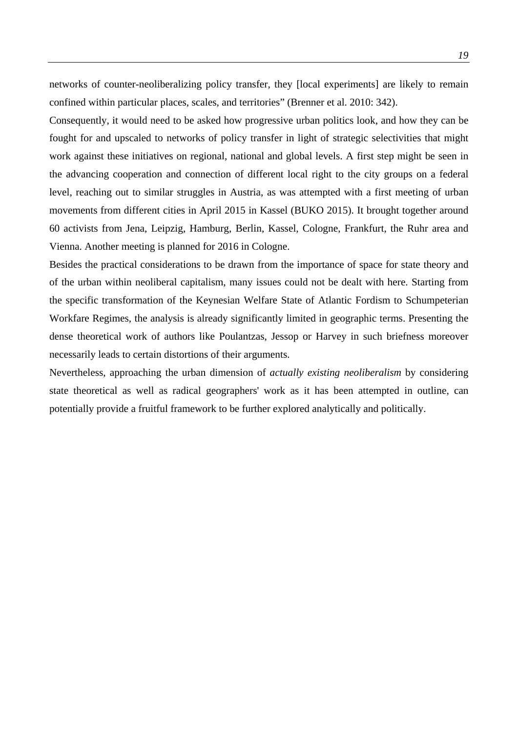networks of counter-neoliberalizing policy transfer, they [local experiments] are likely to remain confined within particular places, scales, and territories" (Brenner et al. 2010: 342).

Consequently, it would need to be asked how progressive urban politics look, and how they can be fought for and upscaled to networks of policy transfer in light of strategic selectivities that might work against these initiatives on regional, national and global levels. A first step might be seen in the advancing cooperation and connection of different local right to the city groups on a federal level, reaching out to similar struggles in Austria, as was attempted with a first meeting of urban movements from different cities in April 2015 in Kassel (BUKO 2015). It brought together around 60 activists from Jena, Leipzig, Hamburg, Berlin, Kassel, Cologne, Frankfurt, the Ruhr area and Vienna. Another meeting is planned for 2016 in Cologne.

Besides the practical considerations to be drawn from the importance of space for state theory and of the urban within neoliberal capitalism, many issues could not be dealt with here. Starting from the specific transformation of the Keynesian Welfare State of Atlantic Fordism to Schumpeterian Workfare Regimes, the analysis is already significantly limited in geographic terms. Presenting the dense theoretical work of authors like Poulantzas, Jessop or Harvey in such briefness moreover necessarily leads to certain distortions of their arguments.

Nevertheless, approaching the urban dimension of *actually existing neoliberalism* by considering state theoretical as well as radical geographers' work as it has been attempted in outline, can potentially provide a fruitful framework to be further explored analytically and politically.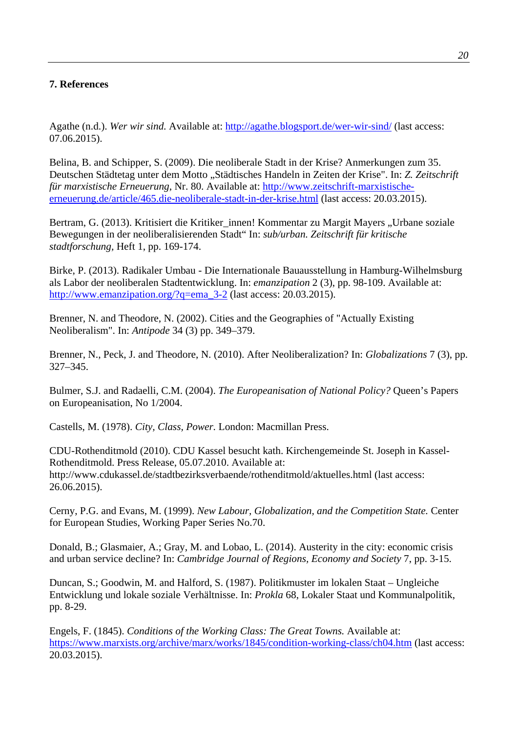### **7. References**

Agathe (n.d.). *Wer wir sind.* Available at: http://agathe.blogsport.de/wer-wir-sind/ (last access: 07.06.2015).

Belina, B. and Schipper, S. (2009). Die neoliberale Stadt in der Krise? Anmerkungen zum 35. Deutschen Städtetag unter dem Motto "Städtisches Handeln in Zeiten der Krise". In: *Z. Zeitschrift für marxistische Erneuerung*, Nr. 80. Available at: http://www.zeitschrift-marxistischeerneuerung.de/article/465.die-neoliberale-stadt-in-der-krise.html (last access: 20.03.2015).

Bertram, G. (2013). Kritisiert die Kritiker\_innen! Kommentar zu Margit Mayers "Urbane soziale Bewegungen in der neoliberalisierenden Stadt" In: *sub/urban. Zeitschrift für kritische stadtforschung,* Heft 1, pp. 169-174.

Birke, P. (2013). Radikaler Umbau - Die Internationale Bauausstellung in Hamburg-Wilhelmsburg als Labor der neoliberalen Stadtentwicklung. In: *emanzipation* 2 (3), pp. 98-109. Available at: http://www.emanzipation.org/?q=ema\_3-2 (last access: 20.03.2015).

Brenner, N. and Theodore, N. (2002). Cities and the Geographies of "Actually Existing Neoliberalism". In: *Antipode* 34 (3) pp. 349–379.

Brenner, N., Peck, J. and Theodore, N. (2010). After Neoliberalization? In: *Globalizations* 7 (3), pp. 327–345.

Bulmer, S.J. and Radaelli, C.M. (2004). *The Europeanisation of National Policy?* Queen's Papers on Europeanisation, No 1/2004.

Castells, M. (1978). *City, Class, Power.* London: Macmillan Press.

CDU-Rothenditmold (2010). CDU Kassel besucht kath. Kirchengemeinde St. Joseph in Kassel-Rothenditmold. Press Release, 05.07.2010. Available at: http://www.cdukassel.de/stadtbezirksverbaende/rothenditmold/aktuelles.html (last access: 26.06.2015).

Cerny, P.G. and Evans, M. (1999). *New Labour, Globalization, and the Competition State.* Center for European Studies, Working Paper Series No.70.

Donald, B.; Glasmaier, A.; Gray, M. and Lobao, L. (2014). Austerity in the city: economic crisis and urban service decline? In: *Cambridge Journal of Regions, Economy and Society* 7, pp. 3-15.

Duncan, S.; Goodwin, M. and Halford, S. (1987). Politikmuster im lokalen Staat – Ungleiche Entwicklung und lokale soziale Verhältnisse. In: *Prokla* 68, Lokaler Staat und Kommunalpolitik, pp. 8-29.

Engels, F. (1845). *Conditions of the Working Class: The Great Towns.* Available at: https://www.marxists.org/archive/marx/works/1845/condition-working-class/ch04.htm (last access: 20.03.2015).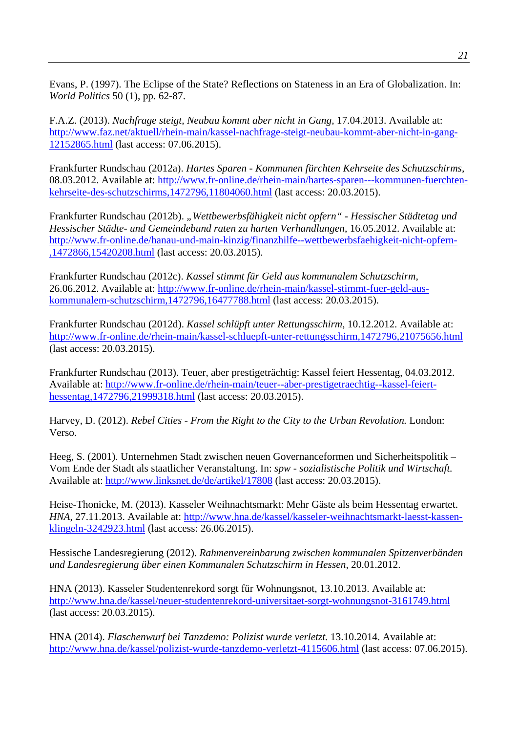Evans, P. (1997). The Eclipse of the State? Reflections on Stateness in an Era of Globalization. In: *World Politics* 50 (1), pp. 62-87.

F.A.Z. (2013). *Nachfrage steigt, Neubau kommt aber nicht in Gang,* 17.04.2013. Available at: http://www.faz.net/aktuell/rhein-main/kassel-nachfrage-steigt-neubau-kommt-aber-nicht-in-gang-12152865.html (last access: 07.06.2015).

Frankfurter Rundschau (2012a). *Hartes Sparen - Kommunen fürchten Kehrseite des Schutzschirms,* 08.03.2012. Available at: http://www.fr-online.de/rhein-main/hartes-sparen---kommunen-fuerchtenkehrseite-des-schutzschirms,1472796,11804060.html (last access: 20.03.2015).

Frankfurter Rundschau (2012b). *"Wettbewerbsfähigkeit nicht opfern" - Hessischer Städtetag und Hessischer Städte- und Gemeindebund raten zu harten Verhandlungen*, 16.05.2012. Available at: http://www.fr-online.de/hanau-und-main-kinzig/finanzhilfe--wettbewerbsfaehigkeit-nicht-opfern- ,1472866,15420208.html (last access: 20.03.2015).

Frankfurter Rundschau (2012c). *Kassel stimmt für Geld aus kommunalem Schutzschirm,* 26.06.2012. Available at: http://www.fr-online.de/rhein-main/kassel-stimmt-fuer-geld-auskommunalem-schutzschirm,1472796,16477788.html (last access: 20.03.2015).

Frankfurter Rundschau (2012d). *Kassel schlüpft unter Rettungsschirm,* 10.12.2012. Available at: http://www.fr-online.de/rhein-main/kassel-schluepft-unter-rettungsschirm,1472796,21075656.html (last access: 20.03.2015).

Frankfurter Rundschau (2013). Teuer, aber prestigeträchtig: Kassel feiert Hessentag, 04.03.2012. Available at: http://www.fr-online.de/rhein-main/teuer--aber-prestigetraechtig--kassel-feierthessentag,1472796,21999318.html (last access: 20.03.2015).

Harvey, D. (2012). *Rebel Cities - From the Right to the City to the Urban Revolution.* London: Verso.

Heeg, S. (2001). Unternehmen Stadt zwischen neuen Governanceformen und Sicherheitspolitik – Vom Ende der Stadt als staatlicher Veranstaltung. In: *spw - sozialistische Politik und Wirtschaft.* Available at: http://www.linksnet.de/de/artikel/17808 (last access: 20.03.2015).

Heise-Thonicke, M. (2013). Kasseler Weihnachtsmarkt: Mehr Gäste als beim Hessentag erwartet. *HNA*, 27.11.2013. Available at: http://www.hna.de/kassel/kasseler-weihnachtsmarkt-laesst-kassenklingeln-3242923.html (last access: 26.06.2015).

Hessische Landesregierung (2012). *Rahmenvereinbarung zwischen kommunalen Spitzenverbänden und Landesregierung über einen Kommunalen Schutzschirm in Hessen,* 20.01.2012.

HNA (2013). Kasseler Studentenrekord sorgt für Wohnungsnot, 13.10.2013. Available at: http://www.hna.de/kassel/neuer-studentenrekord-universitaet-sorgt-wohnungsnot-3161749.html (last access: 20.03.2015).

HNA (2014). *Flaschenwurf bei Tanzdemo: Polizist wurde verletzt.* 13.10.2014. Available at: http://www.hna.de/kassel/polizist-wurde-tanzdemo-verletzt-4115606.html (last access: 07.06.2015).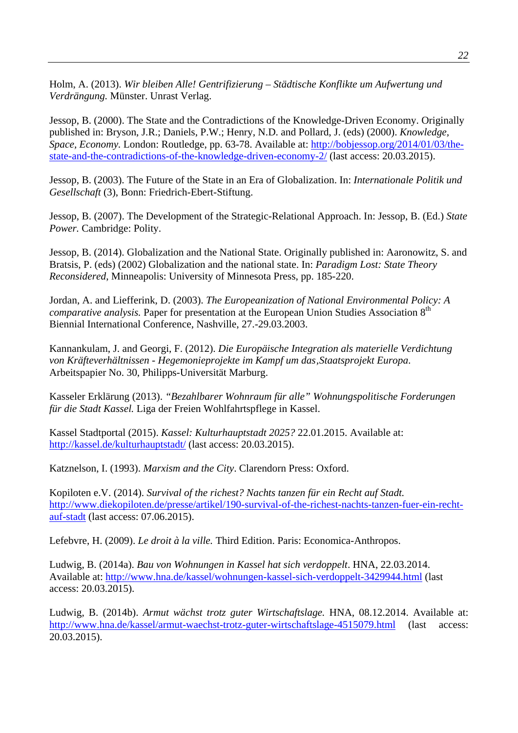Holm, A. (2013). *Wir bleiben Alle! Gentrifizierung – Städtische Konflikte um Aufwertung und Verdrängung.* Münster. Unrast Verlag.

Jessop, B. (2000). The State and the Contradictions of the Knowledge-Driven Economy. Originally published in: Bryson, J.R.; Daniels, P.W.; Henry, N.D. and Pollard, J. (eds) (2000). *Knowledge, Space, Economy.* London: Routledge, pp. 63-78. Available at: http://bobjessop.org/2014/01/03/thestate-and-the-contradictions-of-the-knowledge-driven-economy-2/ (last access: 20.03.2015).

Jessop, B. (2003). The Future of the State in an Era of Globalization. In: *Internationale Politik und Gesellschaft* (3), Bonn: Friedrich-Ebert-Stiftung.

Jessop, B. (2007). The Development of the Strategic-Relational Approach. In: Jessop, B. (Ed.) *State Power.* Cambridge: Polity.

Jessop, B. (2014). Globalization and the National State. Originally published in: Aaronowitz, S. and Bratsis, P. (eds) (2002) Globalization and the national state. In: *Paradigm Lost: State Theory Reconsidered*, Minneapolis: University of Minnesota Press, pp. 185-220.

Jordan, A. and Liefferink, D. (2003). *The Europeanization of National Environmental Policy: A comparative analysis.* Paper for presentation at the European Union Studies Association 8<sup>th</sup> Biennial International Conference, Nashville, 27.-29.03.2003.

Kannankulam, J. and Georgi, F. (2012). *Die Europäische Integration als materielle Verdichtung von Kräfteverhältnissen - Hegemonieprojekte im Kampf um das'Staatsprojekt Europa*. Arbeitspapier No. 30, Philipps-Universität Marburg.

Kasseler Erklärung (2013). *"Bezahlbarer Wohnraum für alle" Wohnungspolitische Forderungen für die Stadt Kassel.* Liga der Freien Wohlfahrtspflege in Kassel.

Kassel Stadtportal (2015). *Kassel: Kulturhauptstadt 2025?* 22.01.2015. Available at: http://kassel.de/kulturhauptstadt/ (last access: 20.03.2015).

Katznelson, I. (1993). *Marxism and the City*. Clarendorn Press: Oxford.

Kopiloten e.V. (2014). *Survival of the richest? Nachts tanzen für ein Recht auf Stadt.* http://www.diekopiloten.de/presse/artikel/190-survival-of-the-richest-nachts-tanzen-fuer-ein-rechtauf-stadt (last access: 07.06.2015).

Lefebvre, H. (2009). *Le droit à la ville.* Third Edition. Paris: Economica-Anthropos.

Ludwig, B. (2014a). *Bau von Wohnungen in Kassel hat sich verdoppelt*. HNA, 22.03.2014. Available at: http://www.hna.de/kassel/wohnungen-kassel-sich-verdoppelt-3429944.html (last access: 20.03.2015).

Ludwig, B. (2014b). *Armut wächst trotz guter Wirtschaftslage.* HNA, 08.12.2014. Available at: http://www.hna.de/kassel/armut-waechst-trotz-guter-wirtschaftslage-4515079.html (last access: 20.03.2015).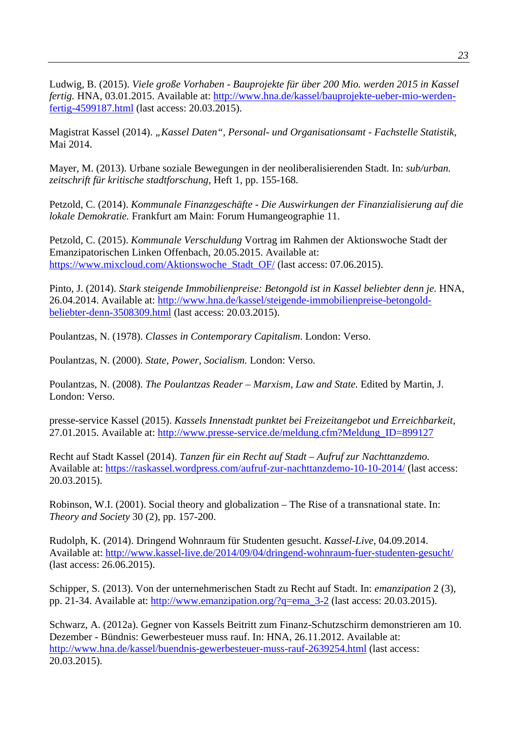Ludwig, B. (2015). *Viele große Vorhaben - Bauprojekte für über 200 Mio. werden 2015 in Kassel fertig.* HNA, 03.01.2015. Available at: http://www.hna.de/kassel/bauprojekte-ueber-mio-werdenfertig-4599187.html (last access: 20.03.2015).

Magistrat Kassel (2014). "Kassel Daten", Personal- und Organisationsamt - Fachstelle Statistik, Mai 2014.

Mayer, M. (2013). Urbane soziale Bewegungen in der neoliberalisierenden Stadt. In: *sub/urban. zeitschrift für kritische stadtforschung*, Heft 1, pp. 155-168.

Petzold, C. (2014). *Kommunale Finanzgeschäfte - Die Auswirkungen der Finanzialisierung auf die lokale Demokratie.* Frankfurt am Main: Forum Humangeographie 11.

Petzold, C. (2015). *Kommunale Verschuldung* Vortrag im Rahmen der Aktionswoche Stadt der Emanzipatorischen Linken Offenbach, 20.05.2015. Available at: https://www.mixcloud.com/Aktionswoche\_Stadt\_OF/ (last access: 07.06.2015).

Pinto, J. (2014). *Stark steigende Immobilienpreise: Betongold ist in Kassel beliebter denn je.* HNA, 26.04.2014. Available at: http://www.hna.de/kassel/steigende-immobilienpreise-betongoldbeliebter-denn-3508309.html (last access: 20.03.2015).

Poulantzas, N. (1978). *Classes in Contemporary Capitalism*. London: Verso.

Poulantzas, N. (2000). *State, Power, Socialism.* London: Verso.

Poulantzas, N. (2008). *The Poulantzas Reader – Marxism, Law and State.* Edited by Martin, J. London: Verso.

presse-service Kassel (2015). *Kassels Innenstadt punktet bei Freizeitangebot und Erreichbarkeit,* 27.01.2015. Available at: http://www.presse-service.de/meldung.cfm?Meldung\_ID=899127

Recht auf Stadt Kassel (2014). *Tanzen für ein Recht auf Stadt – Aufruf zur Nachttanzdemo.* Available at: https://raskassel.wordpress.com/aufruf-zur-nachttanzdemo-10-10-2014/ (last access: 20.03.2015).

Robinson, W.I. (2001). Social theory and globalization – The Rise of a transnational state. In: *Theory and Society* 30 (2), pp. 157-200.

Rudolph, K. (2014). Dringend Wohnraum für Studenten gesucht. *Kassel-Live*, 04.09.2014. Available at: http://www.kassel-live.de/2014/09/04/dringend-wohnraum-fuer-studenten-gesucht/ (last access: 26.06.2015).

Schipper, S. (2013). Von der unternehmerischen Stadt zu Recht auf Stadt. In: *emanzipation* 2 (3), pp. 21-34. Available at: http://www.emanzipation.org/?q=ema\_3-2 (last access: 20.03.2015).

Schwarz, A. (2012a). Gegner von Kassels Beitritt zum Finanz-Schutzschirm demonstrieren am 10. Dezember - Bündnis: Gewerbesteuer muss rauf. In: HNA, 26.11.2012. Available at: http://www.hna.de/kassel/buendnis-gewerbesteuer-muss-rauf-2639254.html (last access: 20.03.2015).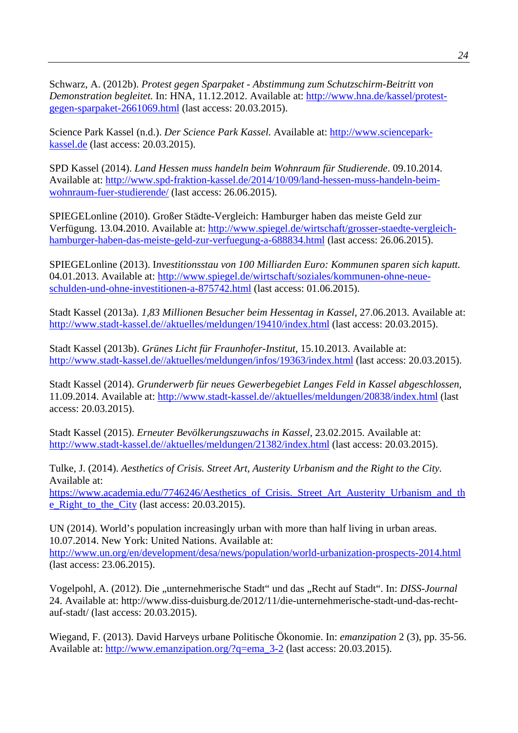Schwarz, A. (2012b). *Protest gegen Sparpaket - Abstimmung zum Schutzschirm-Beitritt von Demonstration begleitet.* In: HNA, 11.12.2012. Available at: http://www.hna.de/kassel/protestgegen-sparpaket-2661069.html (last access: 20.03.2015).

Science Park Kassel (n.d.). *Der Science Park Kassel.* Available at: http://www.scienceparkkassel.de (last access: 20.03.2015).

SPD Kassel (2014). *Land Hessen muss handeln beim Wohnraum für Studierende*. 09.10.2014. Available at: http://www.spd-fraktion-kassel.de/2014/10/09/land-hessen-muss-handeln-beimwohnraum-fuer-studierende/ (last access: 26.06.2015).

SPIEGELonline (2010). Großer Städte-Vergleich: Hamburger haben das meiste Geld zur Verfügung. 13.04.2010. Available at: http://www.spiegel.de/wirtschaft/grosser-staedte-vergleichhamburger-haben-das-meiste-geld-zur-verfuegung-a-688834.html (last access: 26.06.2015).

SPIEGELonline (2013). I*nvestitionsstau von 100 Milliarden Euro: Kommunen sparen sich kaputt.* 04.01.2013. Available at: http://www.spiegel.de/wirtschaft/soziales/kommunen-ohne-neueschulden-und-ohne-investitionen-a-875742.html (last access: 01.06.2015).

Stadt Kassel (2013a). *1,83 Millionen Besucher beim Hessentag in Kassel*, 27.06.2013. Available at: http://www.stadt-kassel.de//aktuelles/meldungen/19410/index.html (last access: 20.03.2015).

Stadt Kassel (2013b). *Grünes Licht für Fraunhofer-Institut,* 15.10.2013. Available at: http://www.stadt-kassel.de//aktuelles/meldungen/infos/19363/index.html (last access: 20.03.2015).

Stadt Kassel (2014). *Grunderwerb für neues Gewerbegebiet Langes Feld in Kassel abgeschlossen,*  11.09.2014. Available at: http://www.stadt-kassel.de//aktuelles/meldungen/20838/index.html (last access: 20.03.2015).

Stadt Kassel (2015). *Erneuter Bevölkerungszuwachs in Kassel,* 23.02.2015. Available at: http://www.stadt-kassel.de//aktuelles/meldungen/21382/index.html (last access: 20.03.2015).

Tulke, J. (2014). *Aesthetics of Crisis. Street Art, Austerity Urbanism and the Right to the City.*  Available at:

https://www.academia.edu/7746246/Aesthetics\_of\_Crisis.\_Street\_Art\_Austerity\_Urbanism\_and\_th e\_Right\_to\_the\_City (last access: 20.03.2015).

UN (2014). World's population increasingly urban with more than half living in urban areas. 10.07.2014. New York: United Nations. Available at: http://www.un.org/en/development/desa/news/population/world-urbanization-prospects-2014.html (last access: 23.06.2015).

Vogelpohl, A. (2012). Die "unternehmerische Stadt" und das "Recht auf Stadt". In: *DISS-Journal* 24. Available at: http://www.diss-duisburg.de/2012/11/die-unternehmerische-stadt-und-das-rechtauf-stadt/ (last access: 20.03.2015).

Wiegand, F. (2013). David Harveys urbane Politische Ökonomie. In: *emanzipation* 2 (3), pp. 35-56. Available at: http://www.emanzipation.org/?q=ema\_3-2 (last access: 20.03.2015).